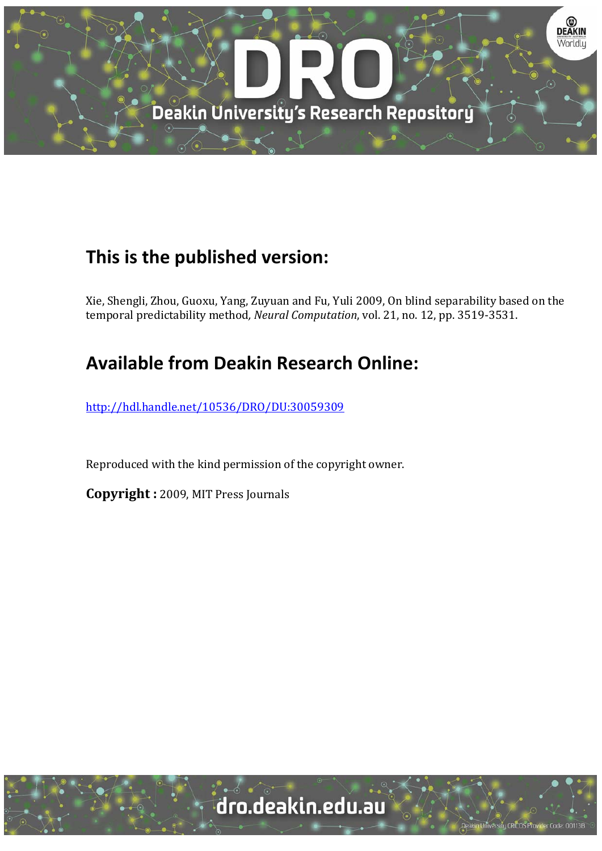

# **This is the published version:**

Xie, Shengli, Zhou, Guoxu, Yang, Zuyuan and Fu, Yuli 2009, On blind separability based on the temporal predictability method, *Neural Computation*, vol. 21, no. 12, pp. 3519-3531.

# **Available from Deakin Research Online:**

http://hdl.handle.net/10536/DRO/DU:30059309

Reproduced with the kind permission of the copyright owner.

**Copyright** : 2009, MIT Press Journals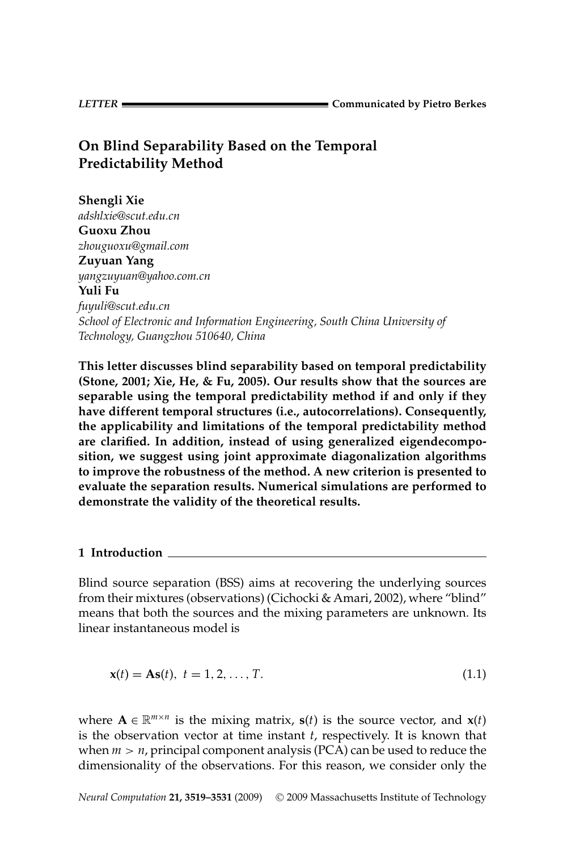*LETTER* **Communicated by Pietro Berkes**

# **On Blind Separability Based on the Temporal Predictability Method**

**Shengli Xie** *adshlxie@scut.edu.cn* **Guoxu Zhou** *zhouguoxu@gmail.com* **Zuyuan Yang** *yangzuyuan@yahoo.com.cn* **Yuli Fu** *fuyuli@scut.edu.cn School of Electronic and Information Engineering, South China University of Technology, Guangzhou 510640, China*

**This letter discusses blind separability based on temporal predictability (Stone, 2001; Xie, He, & Fu, 2005). Our results show that the sources are separable using the temporal predictability method if and only if they have different temporal structures (i.e., autocorrelations). Consequently, the applicability and limitations of the temporal predictability method are clarified. In addition, instead of using generalized eigendecomposition, we suggest using joint approximate diagonalization algorithms to improve the robustness of the method. A new criterion is presented to evaluate the separation results. Numerical simulations are performed to demonstrate the validity of the theoretical results.**

# **1 Introduction**

Blind source separation (BSS) aims at recovering the underlying sources from their mixtures (observations) (Cichocki & Amari, 2002), where "blind" means that both the sources and the mixing parameters are unknown. Its linear instantaneous model is

$$
\mathbf{x}(t) = \mathbf{A}\mathbf{s}(t), \ t = 1, 2, \dots, T. \tag{1.1}
$$

where  $\mathbf{A} \in \mathbb{R}^{m \times n}$  is the mixing matrix,  $\mathbf{s}(t)$  is the source vector, and  $\mathbf{x}(t)$ is the observation vector at time instant *t*, respectively. It is known that when  $m > n$ , principal component analysis (PCA) can be used to reduce the dimensionality of the observations. For this reason, we consider only the

*Neural Computation* 21, 3519-3531 (2009) © 2009 Massachusetts Institute of Technology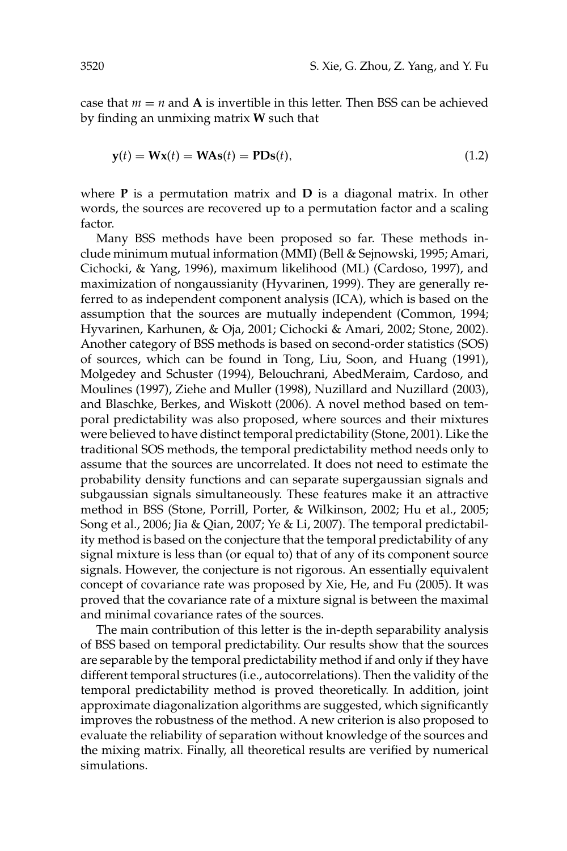case that  $m = n$  and **A** is invertible in this letter. Then BSS can be achieved by finding an unmixing matrix **W** such that

$$
\mathbf{y}(t) = \mathbf{W}\mathbf{x}(t) = \mathbf{W}\mathbf{A}\mathbf{s}(t) = \mathbf{P}\mathbf{D}\mathbf{s}(t),\tag{1.2}
$$

where **P** is a permutation matrix and **D** is a diagonal matrix. In other words, the sources are recovered up to a permutation factor and a scaling factor.

Many BSS methods have been proposed so far. These methods include minimum mutual information (MMI) (Bell & Sejnowski, 1995; Amari, Cichocki, & Yang, 1996), maximum likelihood (ML) (Cardoso, 1997), and maximization of nongaussianity (Hyvarinen, 1999). They are generally referred to as independent component analysis (ICA), which is based on the assumption that the sources are mutually independent (Common, 1994; Hyvarinen, Karhunen, & Oja, 2001; Cichocki & Amari, 2002; Stone, 2002). Another category of BSS methods is based on second-order statistics (SOS) of sources, which can be found in Tong, Liu, Soon, and Huang (1991), Molgedey and Schuster (1994), Belouchrani, AbedMeraim, Cardoso, and Moulines (1997), Ziehe and Muller (1998), Nuzillard and Nuzillard (2003), and Blaschke, Berkes, and Wiskott (2006). A novel method based on temporal predictability was also proposed, where sources and their mixtures were believed to have distinct temporal predictability (Stone, 2001). Like the traditional SOS methods, the temporal predictability method needs only to assume that the sources are uncorrelated. It does not need to estimate the probability density functions and can separate supergaussian signals and subgaussian signals simultaneously. These features make it an attractive method in BSS (Stone, Porrill, Porter, & Wilkinson, 2002; Hu et al., 2005; Song et al., 2006; Jia & Qian, 2007; Ye & Li, 2007). The temporal predictability method is based on the conjecture that the temporal predictability of any signal mixture is less than (or equal to) that of any of its component source signals. However, the conjecture is not rigorous. An essentially equivalent concept of covariance rate was proposed by Xie, He, and Fu (2005). It was proved that the covariance rate of a mixture signal is between the maximal and minimal covariance rates of the sources.

The main contribution of this letter is the in-depth separability analysis of BSS based on temporal predictability. Our results show that the sources are separable by the temporal predictability method if and only if they have different temporal structures (i.e., autocorrelations). Then the validity of the temporal predictability method is proved theoretically. In addition, joint approximate diagonalization algorithms are suggested, which significantly improves the robustness of the method. A new criterion is also proposed to evaluate the reliability of separation without knowledge of the sources and the mixing matrix. Finally, all theoretical results are verified by numerical simulations.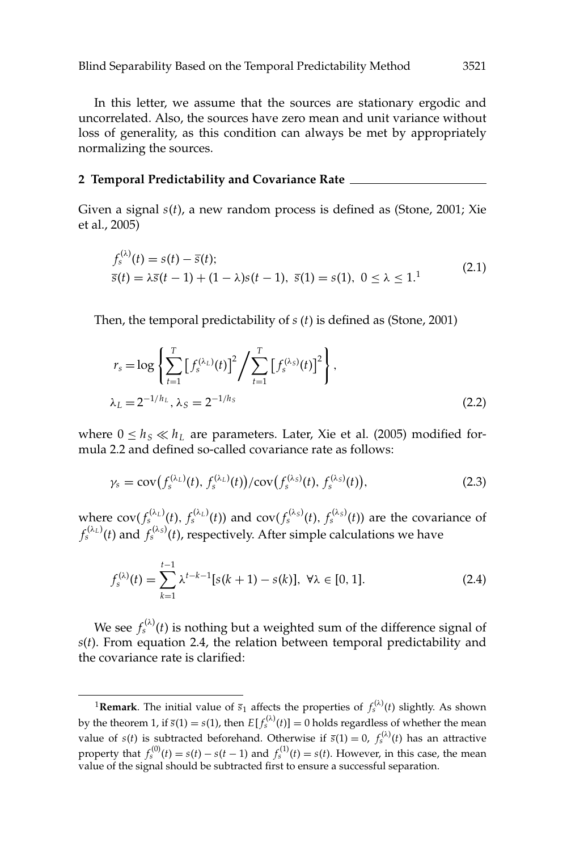In this letter, we assume that the sources are stationary ergodic and uncorrelated. Also, the sources have zero mean and unit variance without loss of generality, as this condition can always be met by appropriately normalizing the sources.

#### **2 Temporal Predictability and Covariance Rate**

Given a signal *s*(*t*), a new random process is defined as (Stone, 2001; Xie et al., 2005)

$$
f_s^{(\lambda)}(t) = s(t) - \bar{s}(t);
$$
  
\n
$$
\bar{s}(t) = \lambda \bar{s}(t-1) + (1-\lambda)s(t-1), \ \bar{s}(1) = s(1), \ 0 \le \lambda \le 1.
$$
\n(2.1)

Then, the temporal predictability of *s* (*t*) is defined as (Stone, 2001)

$$
r_s = \log \left\{ \sum_{t=1}^T \left[ f_s^{(\lambda_L)}(t) \right]^2 / \sum_{t=1}^T \left[ f_s^{(\lambda_S)}(t) \right]^2 \right\},
$$
  

$$
\lambda_L = 2^{-1/h_L}, \lambda_S = 2^{-1/h_S}
$$
 (2.2)

where  $0 \leq h_s \ll h_l$  are parameters. Later, Xie et al. (2005) modified formula 2.2 and defined so-called covariance rate as follows:

$$
\gamma_s = \text{cov}(f_s^{(\lambda_L)}(t), f_s^{(\lambda_L)}(t)) / \text{cov}(f_s^{(\lambda_S)}(t), f_s^{(\lambda_S)}(t)), \tag{2.3}
$$

where  $cov(f_s^{(\lambda_L)}(t), f_s^{(\lambda_L)}(t))$  and  $cov(f_s^{(\lambda_S)}(t), f_s^{(\lambda_S)}(t))$  are the covariance of  $f_s^{(\lambda_L)}(t)$  and  $f_s^{(\lambda_S)}(t)$ , respectively. After simple calculations we have

$$
f_s^{(\lambda)}(t) = \sum_{k=1}^{t-1} \lambda^{t-k-1} [s(k+1) - s(k)], \ \forall \lambda \in [0, 1].
$$
 (2.4)

We see  $f_s^{(\lambda)}(t)$  is nothing but a weighted sum of the difference signal of *s*(*t*). From equation 2.4, the relation between temporal predictability and the covariance rate is clarified:

<sup>&</sup>lt;sup>1</sup>Remark. The initial value of  $\bar{s}_1$  affects the properties of  $f_s^{(\lambda)}(t)$  slightly. As shown by the theorem 1, if  $\bar{s}(1) = s(1)$ , then  $E[f_s^{(\lambda)}(t)] = 0$  holds regardless of whether the mean value of *s*(*t*) is subtracted beforehand. Otherwise if  $\bar{s}(1) = 0$ ,  $f_s^{(\lambda)}(t)$  has an attractive property that  $f_s^{(0)}(t) = s(t) - s(t-1)$  and  $f_s^{(1)}(t) = s(t)$ . However, in this case, the mean value of the signal should be subtracted first to ensure a successful separation.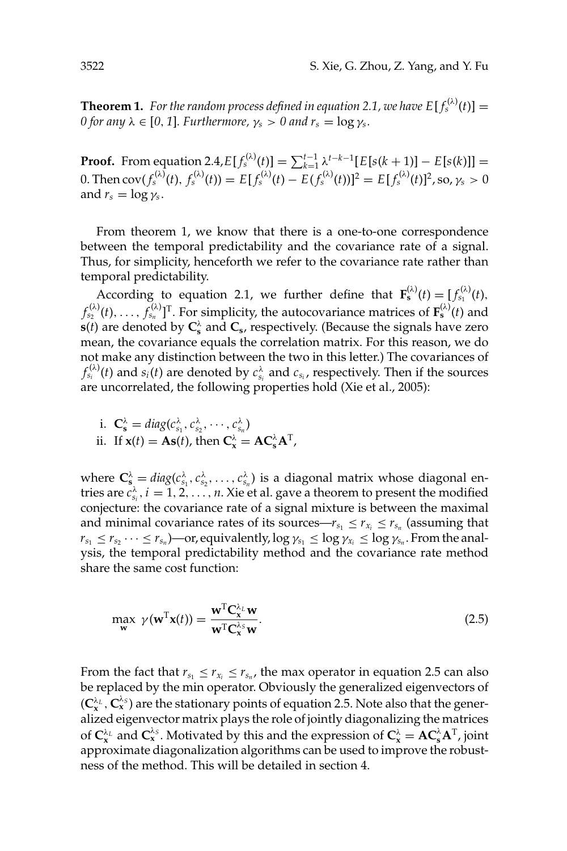**Theorem 1.** For the random process defined in equation 2.1, we have  $E[f_s^{(\lambda)}(t)] =$ *0 for any*  $\lambda \in [0, 1]$ *. Furthermore,*  $\gamma_s > 0$  *and*  $r_s = \log \gamma_s$ *.* 

**Proof.** From equation 2.4, $E[f_s^{(\lambda)}(t)] = \sum_{k=1}^{t-1} \lambda^{t-k-1} [E[s(k+1)] - E[s(k)]] =$ 0. Then  ${\rm cov}(f_s^{(\lambda)}(t),\,f_s^{(\lambda)}(t))=E[f_s^{(\lambda)}(t)-E(f_s^{(\lambda)}(t))]^2=E[f_s^{(\lambda)}(t)]^2$ , so,  $\gamma_s>0$ and  $r_s = \log \gamma_s$ .

From theorem 1, we know that there is a one-to-one correspondence between the temporal predictability and the covariance rate of a signal. Thus, for simplicity, henceforth we refer to the covariance rate rather than temporal predictability.

According to equation 2.1, we further define that  $\mathbf{F}_{s}^{(\lambda)}(t) = [f_{s_1}^{(\lambda)}(t),$  $f_{s_2}^{(\lambda)}(t), \ldots, f_{s_n}^{(\lambda)}]^{\rm{T}}$ . For simplicity, the autocovariance matrices of  $\mathbf{F}_\mathbf{s}^{(\lambda)}(t)$  and **s**(*t*) are denoted by  $C_s^{\lambda}$  and  $C_s$ , respectively. (Because the signals have zero mean, the covariance equals the correlation matrix. For this reason, we do not make any distinction between the two in this letter.) The covariances of  $f_{s_i}^{(\lambda)}(t)$  and  $s_i(t)$  are denoted by  $c_{s_i}^{\lambda}$  and  $c_{s_i}$ , respectively. Then if the sources are uncorrelated, the following properties hold (Xie et al., 2005):

i. 
$$
\mathbf{C}_{\mathbf{s}}^{\lambda} = diag(c_{s_1}^{\lambda}, c_{s_2}^{\lambda}, \cdots, c_{s_n}^{\lambda})
$$

ii. If 
$$
\mathbf{x}(t) = \mathbf{A}\mathbf{s}(t)
$$
, then  $\mathbf{C}_{\mathbf{x}}^{\lambda} = \mathbf{A}\mathbf{C}_{\mathbf{s}}^{\lambda}\mathbf{A}^{\mathrm{T}}$ ,

where  $\mathbf{C}_s^{\lambda} = diag(c_{s_1}^{\lambda}, c_{s_2}^{\lambda}, \dots, c_{s_n}^{\lambda})$  is a diagonal matrix whose diagonal entries are  $c_{s_i}^{\lambda}, i = 1, 2, ..., n$ . Xie et al. gave a theorem to present the modified conjecture: the covariance rate of a signal mixture is between the maximal and minimal covariance rates of its sources— $r_{s_1} \leq r_{x_i} \leq r_{s_n}$  (assuming that  $r_{s_1} \leq r_{s_2} \cdots \leq r_{s_n}$  )—or, equivalently,  $\log \gamma_{s_1} \leq \log \gamma_{x_i} \leq \log \gamma_{s_n}$ . From the analysis, the temporal predictability method and the covariance rate method share the same cost function:

$$
\max_{\mathbf{w}} \ \gamma(\mathbf{w}^{\mathrm{T}}\mathbf{x}(t)) = \frac{\mathbf{w}^{\mathrm{T}}\mathbf{C}_{\mathbf{x}}^{\lambda_{L}}\mathbf{w}}{\mathbf{w}^{\mathrm{T}}\mathbf{C}_{\mathbf{x}}^{\lambda_{S}}\mathbf{w}}.\tag{2.5}
$$

From the fact that  $r_{s_1} \le r_{x_i} \le r_{s_n}$ , the max operator in equation 2.5 can also be replaced by the min operator. Obviously the generalized eigenvectors of  $(C_x^{\lambda_L}, C_x^{\lambda_S})$  are the stationary points of equation 2.5. Note also that the generalized eigenvector matrix plays the role of jointly diagonalizing the matrices of  $C_x^{\lambda_L}$  and  $C_x^{\lambda_S}$ . Motivated by this and the expression of  $C_x^{\lambda} = AC_s^{\lambda}A^T$ , joint approximate diagonalization algorithms can be used to improve the robustness of the method. This will be detailed in section 4.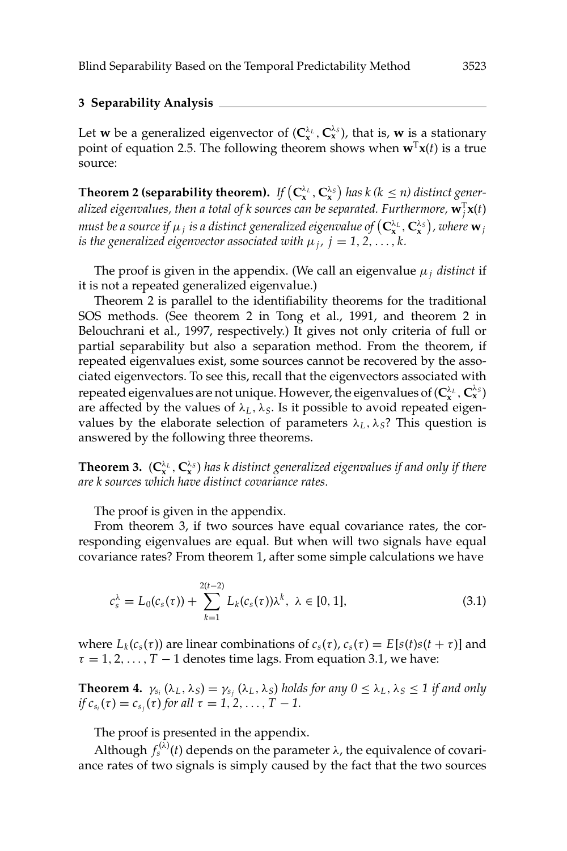## **3 Separability Analysis**

Let **w** be a generalized eigenvector of  $(C_x^{\lambda_L}, C_x^{\lambda_S})$ , that is, **w** is a stationary point of equation 2.5. The following theorem shows when  $\mathbf{w}^T\mathbf{x}(t)$  is a true source:

**Theorem 2 (separability theorem).** If  $(C_x^{\lambda_L}, C_x^{\lambda_S})$  has k (k  $\leq n$ ) distinct generalized eigenvalues, then a total of k sources can be separated. Furthermore,  $\mathbf{w}_j^{\mathrm{T}}\mathbf{x}(t)$  $m$ ust be a source if  $\mu_j$  is a distinct generalized eigenvalue of  $\left(\mathbf{C}_{\mathbf{x}}^{\lambda_L},\mathbf{C}_{\mathbf{x}}^{\lambda_S}\right)$ , where  $\mathbf{w}_j$ *is the generalized eigenvector associated with*  $\mu_j$ ,  $j = 1, 2, \ldots, k$ .

The proof is given in the appendix. (We call an eigenvalue  $\mu_i$  *distinct* if it is not a repeated generalized eigenvalue.)

Theorem 2 is parallel to the identifiability theorems for the traditional SOS methods. (See theorem 2 in Tong et al., 1991, and theorem 2 in Belouchrani et al., 1997, respectively.) It gives not only criteria of full or partial separability but also a separation method. From the theorem, if repeated eigenvalues exist, some sources cannot be recovered by the associated eigenvectors. To see this, recall that the eigenvectors associated with repeated eigenvalues are not unique. However, the eigenvalues of  $(C^{\lambda_L}_x, C^{\lambda_S}_x)$ are affected by the values of  $\lambda_L$ ,  $\lambda_S$ . Is it possible to avoid repeated eigenvalues by the elaborate selection of parameters  $\lambda_L$ ,  $\lambda_S$ ? This question is answered by the following three theorems.

**Theorem 3.**  $(C_x^{\lambda_L}, C_x^{\lambda_S})$  has k distinct generalized eigenvalues if and only if there *are k sources which have distinct covariance rates.*

The proof is given in the appendix.

From theorem 3, if two sources have equal covariance rates, the corresponding eigenvalues are equal. But when will two signals have equal covariance rates? From theorem 1, after some simple calculations we have

$$
c_s^{\lambda} = L_0(c_s(\tau)) + \sum_{k=1}^{2(t-2)} L_k(c_s(\tau))\lambda^k, \ \lambda \in [0, 1], \tag{3.1}
$$

where  $L_k(c_s(\tau))$  are linear combinations of  $c_s(\tau)$ ,  $c_s(\tau) = E[s(t)s(t + \tau)]$  and  $\tau = 1, 2, \ldots, T - 1$  denotes time lags. From equation 3.1, we have:

**Theorem 4.**  $\gamma_{s_i}(\lambda_L, \lambda_S) = \gamma_{s_i}(\lambda_L, \lambda_S)$  *holds for any*  $0 \leq \lambda_L, \lambda_S \leq 1$  *if and only if*  $c_{s_i}(\tau) = c_{s_j}(\tau)$  *for all*  $\tau = 1, 2, ..., T - 1$ .

The proof is presented in the appendix.

Although  $f_s^{(\lambda)}(t)$  depends on the parameter  $\lambda$ , the equivalence of covariance rates of two signals is simply caused by the fact that the two sources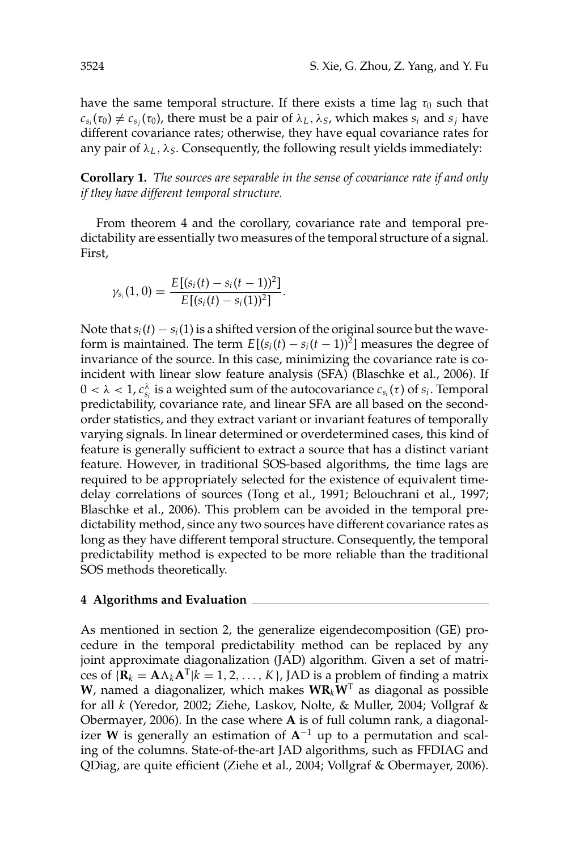have the same temporal structure. If there exists a time lag  $\tau_0$  such that  $c_{s_i}(\tau_0) \neq c_{s_i}(\tau_0)$ , there must be a pair of  $\lambda_L$ ,  $\lambda_S$ , which makes  $s_i$  and  $s_j$  have different covariance rates; otherwise, they have equal covariance rates for any pair of  $\lambda_L$ ,  $\lambda_S$ . Consequently, the following result yields immediately:

**Corollary 1.** *The sources are separable in the sense of covariance rate if and only if they have different temporal structure.*

From theorem 4 and the corollary, covariance rate and temporal predictability are essentially two measures of the temporal structure of a signal. First,

$$
\gamma_{s_i}(1,0)=\frac{E[(s_i(t)-s_i(t-1))^2]}{E[(s_i(t)-s_i(1))^2]}.
$$

Note that  $s_i(t) - s_i(1)$  is a shifted version of the original source but the waveform is maintained. The term  $E[(s_i(t) - s_i(t-1))^2]$  measures the degree of invariance of the source. In this case, minimizing the covariance rate is coincident with linear slow feature analysis (SFA) (Blaschke et al., 2006). If  $0 < \lambda < 1$ ,  $c_{s_i}^{\lambda}$  is a weighted sum of the autocovariance  $c_{s_i}(\tau)$  of  $s_i$ . Temporal predictability, covariance rate, and linear SFA are all based on the secondorder statistics, and they extract variant or invariant features of temporally varying signals. In linear determined or overdetermined cases, this kind of feature is generally sufficient to extract a source that has a distinct variant feature. However, in traditional SOS-based algorithms, the time lags are required to be appropriately selected for the existence of equivalent timedelay correlations of sources (Tong et al., 1991; Belouchrani et al., 1997; Blaschke et al., 2006). This problem can be avoided in the temporal predictability method, since any two sources have different covariance rates as long as they have different temporal structure. Consequently, the temporal predictability method is expected to be more reliable than the traditional SOS methods theoretically.

### **4 Algorithms and Evaluation**

As mentioned in section 2, the generalize eigendecomposition (GE) procedure in the temporal predictability method can be replaced by any joint approximate diagonalization (JAD) algorithm. Given a set of matrices of  ${R_k = A \Lambda_k A^T | k = 1, 2, ..., K}$ , JAD is a problem of finding a matrix **W**, named a diagonalizer, which makes  $W_{k}W^{T}$  as diagonal as possible for all *k* (Yeredor, 2002; Ziehe, Laskov, Nolte, & Muller, 2004; Vollgraf & Obermayer, 2006). In the case where **A** is of full column rank, a diagonalizer **W** is generally an estimation of  $A^{-1}$  up to a permutation and scaling of the columns. State-of-the-art JAD algorithms, such as FFDIAG and QDiag, are quite efficient (Ziehe et al., 2004; Vollgraf & Obermayer, 2006).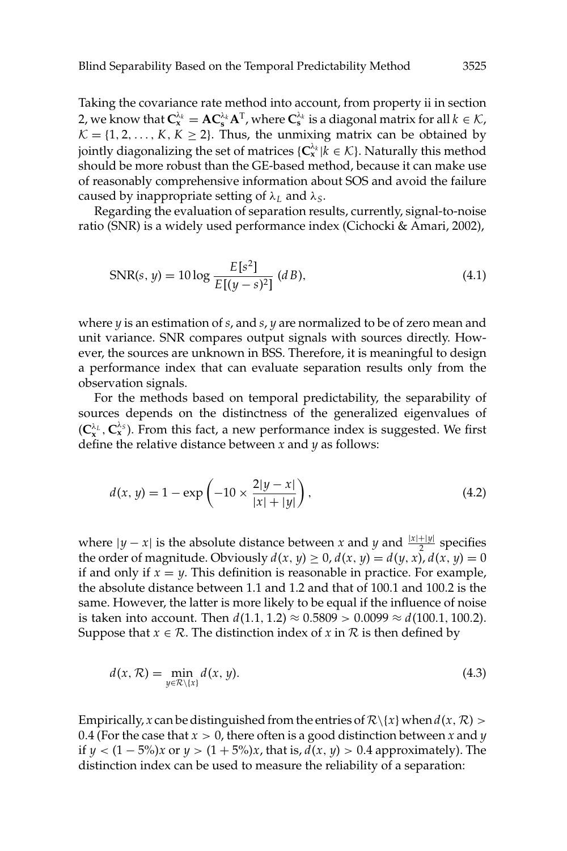Taking the covariance rate method into account, from property ii in section 2, we know that  $C_x^{\lambda_k} = AC_s^{\lambda_k} A^T$ , where  $C_s^{\lambda_k}$  is a diagonal matrix for all  $k \in \mathcal{K}$ ,  $K = \{1, 2, \ldots, K, K \geq 2\}$ . Thus, the unmixing matrix can be obtained by jointly diagonalizing the set of matrices  $\{C_x^{\lambda_k} | k \in \mathcal{K}\}\)$ . Naturally this method should be more robust than the GE-based method, because it can make use of reasonably comprehensive information about SOS and avoid the failure caused by inappropriate setting of λ*<sup>L</sup>* and λ*S*.

Regarding the evaluation of separation results, currently, signal-to-noise ratio (SNR) is a widely used performance index (Cichocki & Amari, 2002),

$$
SNR(s, y) = 10 \log \frac{E[s^2]}{E[(y - s)^2]} \ (d \, B), \tag{4.1}
$$

where *y* is an estimation of *s*, and *s*, *y* are normalized to be of zero mean and unit variance. SNR compares output signals with sources directly. However, the sources are unknown in BSS. Therefore, it is meaningful to design a performance index that can evaluate separation results only from the observation signals.

For the methods based on temporal predictability, the separability of sources depends on the distinctness of the generalized eigenvalues of  $(C_x^{\lambda_L}, C_x^{\lambda_S})$ . From this fact, a new performance index is suggested. We first define the relative distance between *x* and *y* as follows:

$$
d(x, y) = 1 - \exp\left(-10 \times \frac{2|y - x|}{|x| + |y|}\right),\tag{4.2}
$$

where  $|y - x|$  is the absolute distance between *x* and *y* and  $\frac{|x| + |y|}{2}$  specifies the order of magnitude. Obviously  $d(x, y) \ge 0$ ,  $d(x, y) = d(y, x)$ ,  $d(x, y) = 0$ if and only if  $x = y$ . This definition is reasonable in practice. For example, the absolute distance between 1.1 and 1.2 and that of 100.1 and 100.2 is the same. However, the latter is more likely to be equal if the influence of noise is taken into account. Then  $d(1.1, 1.2) \approx 0.5809 > 0.0099 \approx d(100.1, 100.2)$ . Suppose that *x*  $\in \mathcal{R}$ . The distinction index of *x* in  $\mathcal{R}$  is then defined by

$$
d(x, \mathcal{R}) = \min_{y \in \mathcal{R} \setminus \{x\}} d(x, y). \tag{4.3}
$$

Empirically, *x* can be distinguished from the entries of  $\mathcal{R}\setminus\{x\}$  when  $d(x, \mathcal{R})$  > 0.4 (For the case that *x* > 0, there often is a good distinction between *x* and *y* if *y* <  $(1 − 5\%)$ *x* or *y* >  $(1 + 5\%)$ *x*, that is,  $d(x, y) > 0.4$  approximately). The distinction index can be used to measure the reliability of a separation: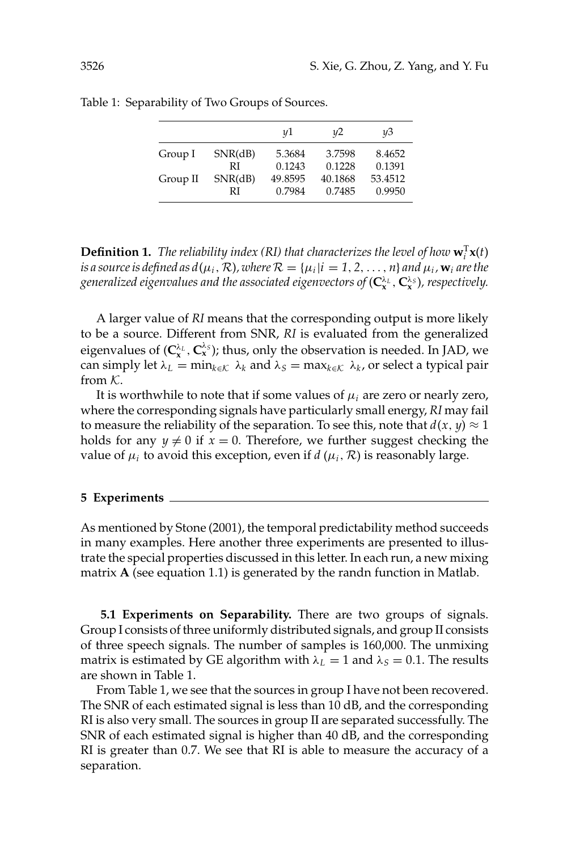|          |         | y1      | u2      | ųЗ      |
|----------|---------|---------|---------|---------|
| Group I  | SNR(dB) | 5.3684  | 3.7598  | 8.4652  |
|          | RI      | 0.1243  | 0.1228  | 0.1391  |
| Group II | SNR(dB) | 49.8595 | 40.1868 | 53.4512 |
|          | RI      | 0.7984  | 0.7485  | 0.9950  |

Table 1: Separability of Two Groups of Sources.

**Definition 1.** The reliability index (RI) that characterizes the level of how  $\mathbf{w}_i^T \mathbf{x}(t)$ *is a source is defined as*  $d(\mu_i, \mathcal{R})$ *, where*  $\mathcal{R} = {\mu_i | i = 1, 2, ..., n}$  *and*  $\mu_i$ ,  $\mathbf{w}_i$  *are the generalized eigenvalues and the associated eigenvectors of* (**C**<sup>λ</sup>*<sup>L</sup>* **<sup>x</sup>** , **C**<sup>λ</sup>*<sup>S</sup>* **<sup>x</sup>** )*, respectively.*

A larger value of *RI* means that the corresponding output is more likely to be a source. Different from SNR, *RI* is evaluated from the generalized eigenvalues of  $(C_x^{\lambda_L}, C_x^{\lambda_S})$ ; thus, only the observation is needed. In JAD, we can simply let  $\lambda_L = \min_{k \in \mathcal{K}} \lambda_k$  and  $\lambda_S = \max_{k \in \mathcal{K}} \lambda_k$ , or select a typical pair from  $K$ .

It is worthwhile to note that if some values of  $\mu_i$  are zero or nearly zero, where the corresponding signals have particularly small energy, *RI* may fail to measure the reliability of the separation. To see this, note that  $d(x, y) \approx 1$ holds for any  $y \neq 0$  if  $x = 0$ . Therefore, we further suggest checking the value of  $\mu_i$  to avoid this exception, even if  $d(\mu_i, \mathcal{R})$  is reasonably large.

#### **5 Experiments**

As mentioned by Stone (2001), the temporal predictability method succeeds in many examples. Here another three experiments are presented to illustrate the special properties discussed in this letter. In each run, a new mixing matrix **A** (see equation 1.1) is generated by the randn function in Matlab.

**5.1 Experiments on Separability.** There are two groups of signals. Group I consists of three uniformly distributed signals, and group II consists of three speech signals. The number of samples is 160,000. The unmixing matrix is estimated by GE algorithm with  $\lambda_L = 1$  and  $\lambda_S = 0.1$ . The results are shown in Table 1.

From Table 1, we see that the sources in group I have not been recovered. The SNR of each estimated signal is less than 10 dB, and the corresponding RI is also very small. The sources in group II are separated successfully. The SNR of each estimated signal is higher than 40 dB, and the corresponding RI is greater than 0.7. We see that RI is able to measure the accuracy of a separation.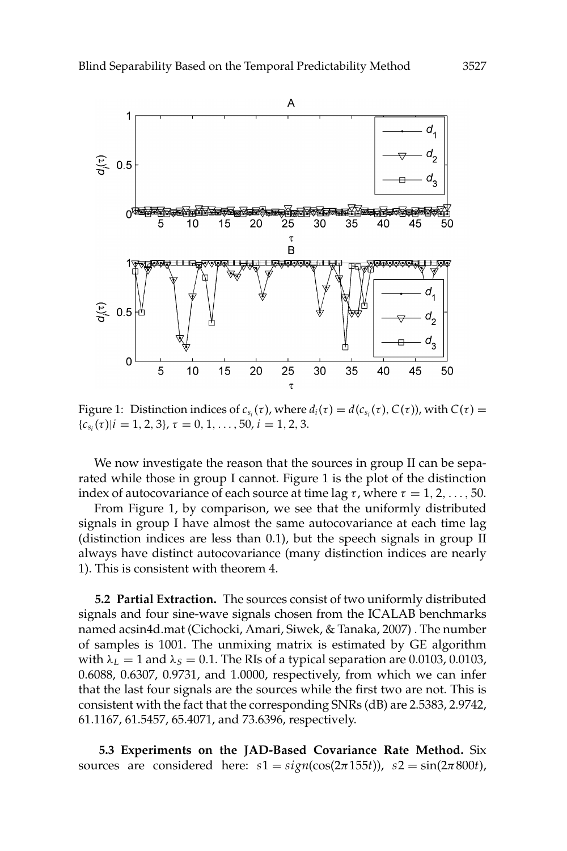

Figure 1: Distinction indices of  $c_{s_i}(\tau)$ , where  $d_i(\tau) = d(c_{s_i}(\tau), C(\tau))$ , with  $C(\tau) =$  ${c_{s_i}(\tau)|i=1,2,3}, \tau=0,1,\ldots,50, i=1,2,3.$ 

We now investigate the reason that the sources in group II can be separated while those in group I cannot. Figure 1 is the plot of the distinction index of autocovariance of each source at time lag  $\tau$ , where  $\tau = 1, 2, \ldots, 50$ .

From Figure 1, by comparison, we see that the uniformly distributed signals in group I have almost the same autocovariance at each time lag (distinction indices are less than 0.1), but the speech signals in group II always have distinct autocovariance (many distinction indices are nearly 1). This is consistent with theorem 4.

**5.2 Partial Extraction.** The sources consist of two uniformly distributed signals and four sine-wave signals chosen from the ICALAB benchmarks named acsin4d.mat (Cichocki, Amari, Siwek, & Tanaka, 2007) . The number of samples is 1001. The unmixing matrix is estimated by GE algorithm with  $\lambda_L = 1$  and  $\lambda_S = 0.1$ . The RIs of a typical separation are 0.0103, 0.0103, 0.6088, 0.6307, 0.9731, and 1.0000, respectively, from which we can infer that the last four signals are the sources while the first two are not. This is consistent with the fact that the corresponding SNRs (dB) are 2.5383, 2.9742, 61.1167, 61.5457, 65.4071, and 73.6396, respectively.

**5.3 Experiments on the JAD-Based Covariance Rate Method.** Six sources are considered here:  $s1 = sign(cos(2\pi 155t))$ ,  $s2 = sin(2\pi 800t)$ ,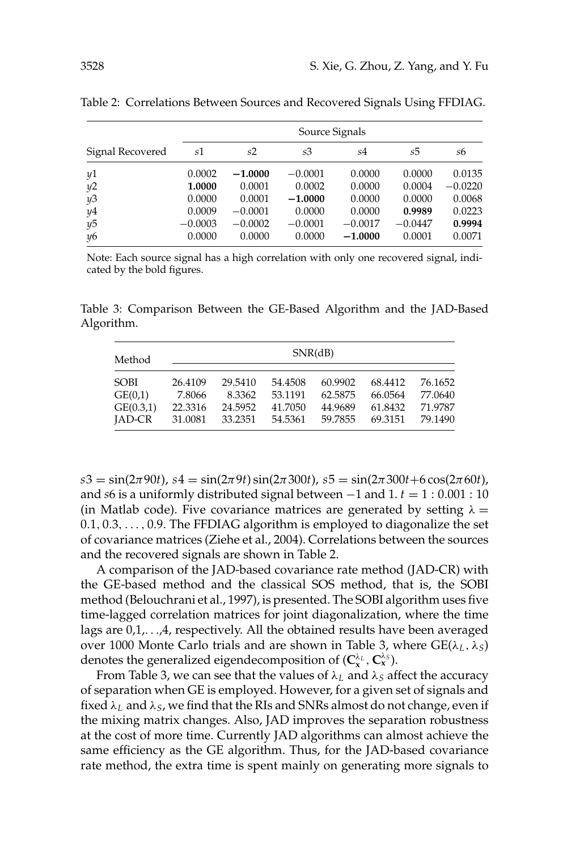|                  | Source Signals |           |           |           |           |           |  |
|------------------|----------------|-----------|-----------|-----------|-----------|-----------|--|
| Signal Recovered | s1             | s2        | s3        | s4        | s5        | s6        |  |
| y1               | 0.0002         | $-1.0000$ | $-0.0001$ | 0.0000    | 0.0000    | 0.0135    |  |
| y2               | 1.0000         | 0.0001    | 0.0002    | 0.0000    | 0.0004    | $-0.0220$ |  |
| y3               | 0.0000         | 0.0001    | $-1.0000$ | 0.0000    | 0.0000    | 0.0068    |  |
| y4               | 0.0009         | $-0.0001$ | 0.0000    | 0.0000    | 0.9989    | 0.0223    |  |
| y5               | $-0.0003$      | $-0.0002$ | $-0.0001$ | $-0.0017$ | $-0.0447$ | 0.9994    |  |
| $\n  y6$         | 0.0000         | 0.0000    | 0.0000    | $-1.0000$ | 0.0001    | 0.0071    |  |

Table 2: Correlations Between Sources and Recovered Signals Using FFDIAG.

Note: Each source signal has a high correlation with only one recovered signal, indicated by the bold figures.

Table 3: Comparison Between the GE-Based Algorithm and the JAD-Based Algorithm.

| Method        | SNR(dB) |         |         |         |         |         |
|---------------|---------|---------|---------|---------|---------|---------|
| <b>SOBI</b>   | 26.4109 | 29.5410 | 54.4508 | 60.9902 | 68.4412 | 76.1652 |
| GE(0,1)       | 7.8066  | 8.3362  | 53.1191 | 62.5875 | 66.0564 | 77.0640 |
| GE(0.3,1)     | 22.3316 | 24.5952 | 41.7050 | 44.9689 | 61.8432 | 71.9787 |
| <b>IAD-CR</b> | 31.0081 | 33.2351 | 54.5361 | 59.7855 | 69.3151 | 79.1490 |

 $s3 = \sin(2\pi 90t)$ ,  $s4 = \sin(2\pi 9t) \sin(2\pi 300t)$ ,  $s5 = \sin(2\pi 300t + 6 \cos(2\pi 60t)$ , and *s*6 is a uniformly distributed signal between  $-1$  and  $1. t = 1:0.001:10$ (in Matlab code). Five covariance matrices are generated by setting  $\lambda =$ 0.1, 0.3,..., 0.9. The FFDIAG algorithm is employed to diagonalize the set of covariance matrices (Ziehe et al., 2004). Correlations between the sources and the recovered signals are shown in Table 2.

A comparison of the JAD-based covariance rate method (JAD-CR) with the GE-based method and the classical SOS method, that is, the SOBI method (Belouchrani et al., 1997), is presented. The SOBI algorithm uses five time-lagged correlation matrices for joint diagonalization, where the time lags are  $0,1,\ldots,4$ , respectively. All the obtained results have been averaged over 1000 Monte Carlo trials and are shown in Table 3, where GE(λ*<sup>L</sup>* ,λ*S*) denotes the generalized eigendecomposition of  $(C_x^{\lambda_L}, C_x^{\lambda_S})$ .

From Table 3, we can see that the values of  $\lambda_L$  and  $\lambda_S$  affect the accuracy of separation when GE is employed. However, for a given set of signals and fixed  $\lambda_L$  and  $\lambda_S$ , we find that the RIs and SNRs almost do not change, even if the mixing matrix changes. Also, JAD improves the separation robustness at the cost of more time. Currently JAD algorithms can almost achieve the same efficiency as the GE algorithm. Thus, for the JAD-based covariance rate method, the extra time is spent mainly on generating more signals to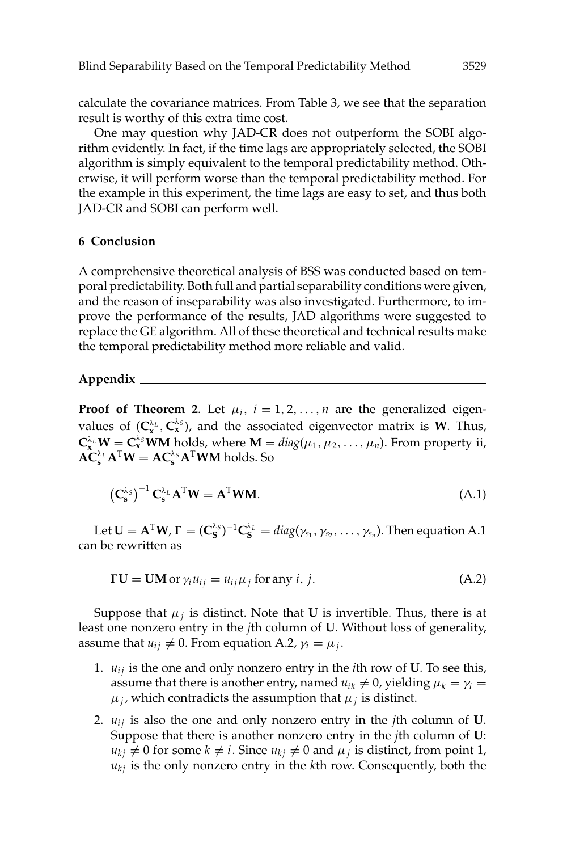calculate the covariance matrices. From Table 3, we see that the separation result is worthy of this extra time cost.

One may question why JAD-CR does not outperform the SOBI algorithm evidently. In fact, if the time lags are appropriately selected, the SOBI algorithm is simply equivalent to the temporal predictability method. Otherwise, it will perform worse than the temporal predictability method. For the example in this experiment, the time lags are easy to set, and thus both JAD-CR and SOBI can perform well.

### **6 Conclusion**

A comprehensive theoretical analysis of BSS was conducted based on temporal predictability. Both full and partial separability conditions were given, and the reason of inseparability was also investigated. Furthermore, to improve the performance of the results, JAD algorithms were suggested to replace the GE algorithm. All of these theoretical and technical results make the temporal predictability method more reliable and valid.

#### **Appendix**

**Proof of Theorem 2.** Let  $\mu_i$ ,  $i = 1, 2, ..., n$  are the generalized eigenvalues of  $(C_x^{\lambda_L}, C_x^{\lambda_S})$ , and the associated eigenvector matrix is **W**. Thus,  $\mathbf{C}_{\mathbf{x}}^{\lambda_L} \mathbf{W} = \mathbf{C}_{\mathbf{x}}^{\lambda_S} \mathbf{W} \mathbf{M}$  holds, where  $\mathbf{M} = diag(\mu_1, \mu_2, \dots, \mu_n)$ . From property ii,  $\mathbf{AC}_{\mathbf{s}}^{\lambda_L} \mathbf{A}^{\mathrm{T}} \mathbf{W} = \mathbf{AC}_{\mathbf{s}}^{\lambda_S} \mathbf{A}^{\mathrm{T}} \mathbf{W} \mathbf{M}$  holds. So

$$
\left(\mathbf{C}_{\mathbf{s}}^{\lambda_{\mathcal{S}}}\right)^{-1}\mathbf{C}_{\mathbf{s}}^{\lambda_{\mathcal{L}}}\mathbf{A}^{\mathrm{T}}\mathbf{W}=\mathbf{A}^{\mathrm{T}}\mathbf{W}\mathbf{M}.
$$
\n(A.1)

Let  $\mathbf{U} = \mathbf{A}^{\mathrm{T}}\mathbf{W}$ ,  $\mathbf{\Gamma} = (\mathbf{C}_{\mathbf{S}}^{\lambda_S})^{-1}\mathbf{C}_{\mathbf{S}}^{\lambda_L} = diag(\gamma_{s_1}, \gamma_{s_2}, \dots, \gamma_{s_n})$ . Then equation A.1 can be rewritten as

$$
\mathbf{F}\mathbf{U} = \mathbf{U}\mathbf{M} \text{ or } \gamma_i u_{ij} = u_{ij}\mu_j \text{ for any } i, j.
$$
 (A.2)

Suppose that  $\mu_j$  is distinct. Note that **U** is invertible. Thus, there is at least one nonzero entry in the *j*th column of **U**. Without loss of generality, assume that  $u_{ij} \neq 0$ . From equation A.2,  $\gamma_i = \mu_j$ .

- 1.  $u_{ij}$  is the one and only nonzero entry in the *i*th row of **U**. To see this, assume that there is another entry, named  $u_{ik} \neq 0$ , yielding  $\mu_k = \gamma_i =$  $\mu_j$ , which contradicts the assumption that  $\mu_j$  is distinct.
- 2.  $u_{ij}$  is also the one and only nonzero entry in the *j*th column of **U**. Suppose that there is another nonzero entry in the *j*th column of **U**:  $u_{ki} \neq 0$  for some  $k \neq i$ . Since  $u_{ki} \neq 0$  and  $\mu_j$  is distinct, from point 1, *ukj* is the only nonzero entry in the *k*th row. Consequently, both the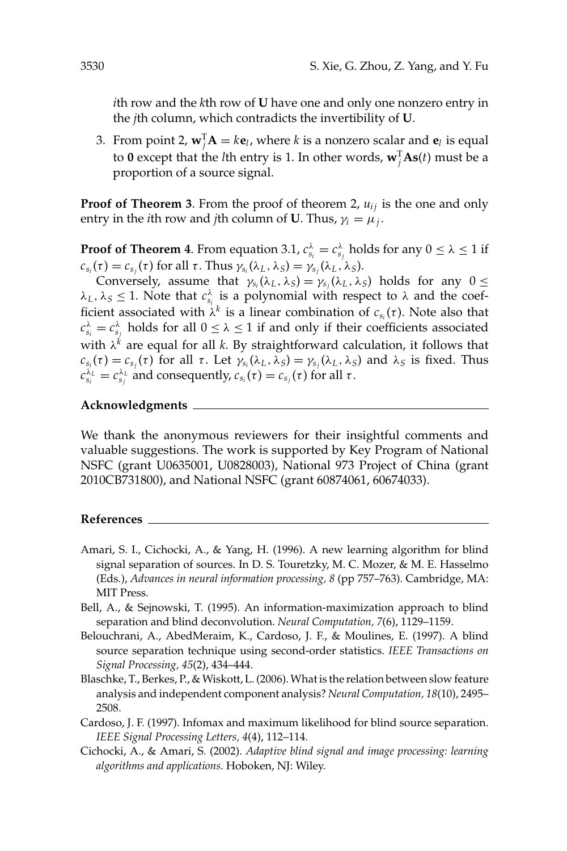*i*th row and the *k*th row of **U** have one and only one nonzero entry in the *j*th column, which contradicts the invertibility of **U**.

3. From point 2,  $\mathbf{w}_j^T \mathbf{A} = k \mathbf{e}_l$ , where *k* is a nonzero scalar and  $\mathbf{e}_l$  is equal to **0** except that the *l*th entry is 1. In other words,  $\mathbf{w}_j^{\mathrm{T}} \mathbf{As}(t)$  must be a proportion of a source signal.

**Proof of Theorem 3**. From the proof of theorem 2,  $u_{ij}$  is the one and only entry in the *i*th row and *j*th column of **U**. Thus,  $\gamma_i = \mu_j$ .

**Proof of Theorem 4.** From equation 3.1,  $c_{s_i}^{\lambda} = c_{s_j}^{\lambda}$  holds for any  $0 \le \lambda \le 1$  if  $c_{s_i}(\tau) = c_{s_i}(\tau)$  for all  $\tau$ . Thus  $\gamma_{s_i}(\lambda_L, \lambda_S) = \gamma_{s_i}(\lambda_L, \lambda_S)$ .

Conversely, assume that  $\gamma_{s_i}(\lambda_L, \lambda_S) = \gamma_{s_i}(\lambda_L, \lambda_S)$  holds for any  $0 \leq$  $\lambda_L$ ,  $\lambda_S \leq 1$ . Note that  $c_{s_i}^{\lambda}$  is a polynomial with respect to  $\lambda$  and the coefficient associated with  $\lambda^k$  is a linear combination of  $c_{s_i}(\tau)$ . Note also that  $c_{s_i}^{\lambda} = c_{s_j}^{\lambda}$  holds for all  $0 \le \lambda \le 1$  if and only if their coefficients associated with  $\lambda^k$  are equal for all *k*. By straightforward calculation, it follows that  $c_{s_i}(\tau) = c_{s_i}(\tau)$  for all  $\tau$ . Let  $\gamma_{s_i}(\lambda_L, \lambda_S) = \gamma_{s_i}(\lambda_L, \lambda_S)$  and  $\lambda_S$  is fixed. Thus  $c_{s_i}^{\lambda_L} = c_{s_j}^{\lambda_L}$  and consequently,  $c_{s_i}(\tau) = c_{s_j}(\tau)$  for all  $\tau$ .

# **Acknowledgments**

We thank the anonymous reviewers for their insightful comments and valuable suggestions. The work is supported by Key Program of National NSFC (grant U0635001, U0828003), National 973 Project of China (grant 2010CB731800), and National NSFC (grant 60874061, 60674033).

#### **References**

- Amari, S. I., Cichocki, A., & Yang, H. (1996). A new learning algorithm for blind signal separation of sources. In D. S. Touretzky, M. C. Mozer, & M. E. Hasselmo (Eds.), *Advances in neural information processing, 8* (pp 757–763). Cambridge, MA: MIT Press.
- Bell, A., & Sejnowski, T. (1995). An information-maximization approach to blind separation and blind deconvolution. *Neural Computation, 7*(6), 1129–1159.
- Belouchrani, A., AbedMeraim, K., Cardoso, J. F., & Moulines, E. (1997). A blind source separation technique using second-order statistics. *IEEE Transactions on Signal Processing, 45*(2), 434–444.
- Blaschke, T., Berkes, P., & Wiskott, L. (2006). What is the relation between slow feature analysis and independent component analysis? *Neural Computation, 18*(10), 2495– 2508.
- Cardoso, J. F. (1997). Infomax and maximum likelihood for blind source separation. *IEEE Signal Processing Letters, 4*(4), 112–114.
- Cichocki, A., & Amari, S. (2002). *Adaptive blind signal and image processing: learning algorithms and applications*. Hoboken, NJ: Wiley.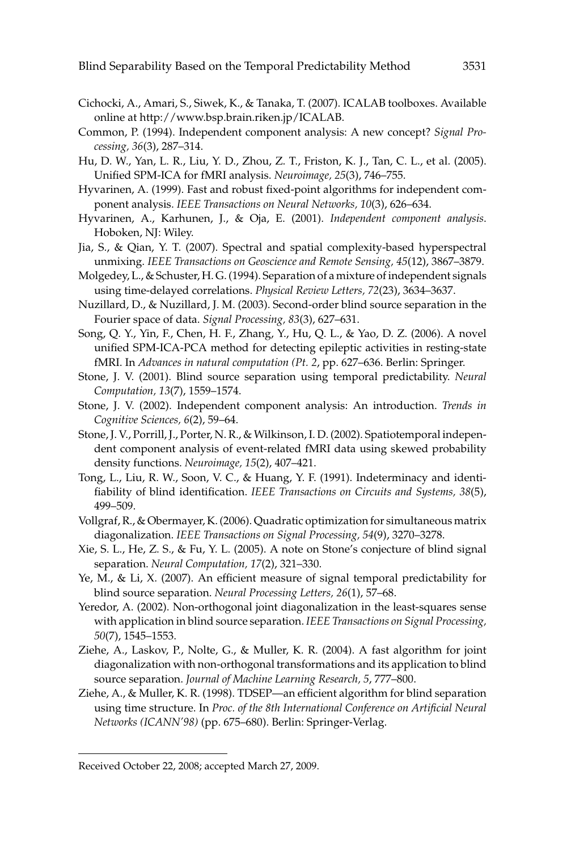- Cichocki, A., Amari, S., Siwek, K., & Tanaka, T. (2007). ICALAB toolboxes. Available online at http://www.bsp.brain.riken.jp/ICALAB.
- Common, P. (1994). Independent component analysis: A new concept? *Signal Processing, 36*(3), 287–314.
- Hu, D. W., Yan, L. R., Liu, Y. D., Zhou, Z. T., Friston, K. J., Tan, C. L., et al. (2005). Unified SPM-ICA for fMRI analysis. *Neuroimage, 25*(3), 746–755.
- Hyvarinen, A. (1999). Fast and robust fixed-point algorithms for independent component analysis. *IEEE Transactions on Neural Networks, 10*(3), 626–634.
- Hyvarinen, A., Karhunen, J., & Oja, E. (2001). *Independent component analysis*. Hoboken, NJ: Wiley.
- Jia, S., & Qian, Y. T. (2007). Spectral and spatial complexity-based hyperspectral unmixing. *IEEE Transactions on Geoscience and Remote Sensing, 45*(12), 3867–3879.
- Molgedey, L., & Schuster, H. G. (1994). Separation of a mixture of independent signals using time-delayed correlations. *Physical Review Letters, 72*(23), 3634–3637.
- Nuzillard, D., & Nuzillard, J. M. (2003). Second-order blind source separation in the Fourier space of data. *Signal Processing, 83*(3), 627–631.
- Song, Q. Y., Yin, F., Chen, H. F., Zhang, Y., Hu, Q. L., & Yao, D. Z. (2006). A novel unified SPM-ICA-PCA method for detecting epileptic activities in resting-state fMRI. In *Advances in natural computation (Pt. 2*, pp. 627–636. Berlin: Springer.
- Stone, J. V. (2001). Blind source separation using temporal predictability. *Neural Computation, 13*(7), 1559–1574.
- Stone, J. V. (2002). Independent component analysis: An introduction. *Trends in Cognitive Sciences, 6*(2), 59–64.
- Stone, J. V., Porrill, J., Porter, N. R., & Wilkinson, I. D. (2002). Spatiotemporal independent component analysis of event-related fMRI data using skewed probability density functions. *Neuroimage, 15*(2), 407–421.
- Tong, L., Liu, R. W., Soon, V. C., & Huang, Y. F. (1991). Indeterminacy and identifiability of blind identification. *IEEE Transactions on Circuits and Systems, 38*(5), 499–509.
- Vollgraf, R., & Obermayer, K. (2006). Quadratic optimization for simultaneous matrix diagonalization. *IEEE Transactions on Signal Processing, 54*(9), 3270–3278.
- Xie, S. L., He, Z. S., & Fu, Y. L. (2005). A note on Stone's conjecture of blind signal separation. *Neural Computation, 17*(2), 321–330.
- Ye, M., & Li, X. (2007). An efficient measure of signal temporal predictability for blind source separation. *Neural Processing Letters, 26*(1), 57–68.
- Yeredor, A. (2002). Non-orthogonal joint diagonalization in the least-squares sense with application in blind source separation. *IEEE Transactions on Signal Processing, 50*(7), 1545–1553.
- Ziehe, A., Laskov, P., Nolte, G., & Muller, K. R. (2004). A fast algorithm for joint diagonalization with non-orthogonal transformations and its application to blind source separation. *Journal of Machine Learning Research, 5*, 777–800.
- Ziehe, A., & Muller, K. R. (1998). TDSEP—an efficient algorithm for blind separation using time structure. In *Proc. of the 8th International Conference on Artificial Neural Networks (ICANN'98)* (pp. 675–680). Berlin: Springer-Verlag.

Received October 22, 2008; accepted March 27, 2009.